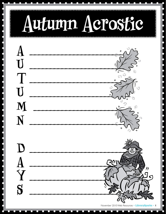## Autumn Aerostic

**CONTRACTOR**